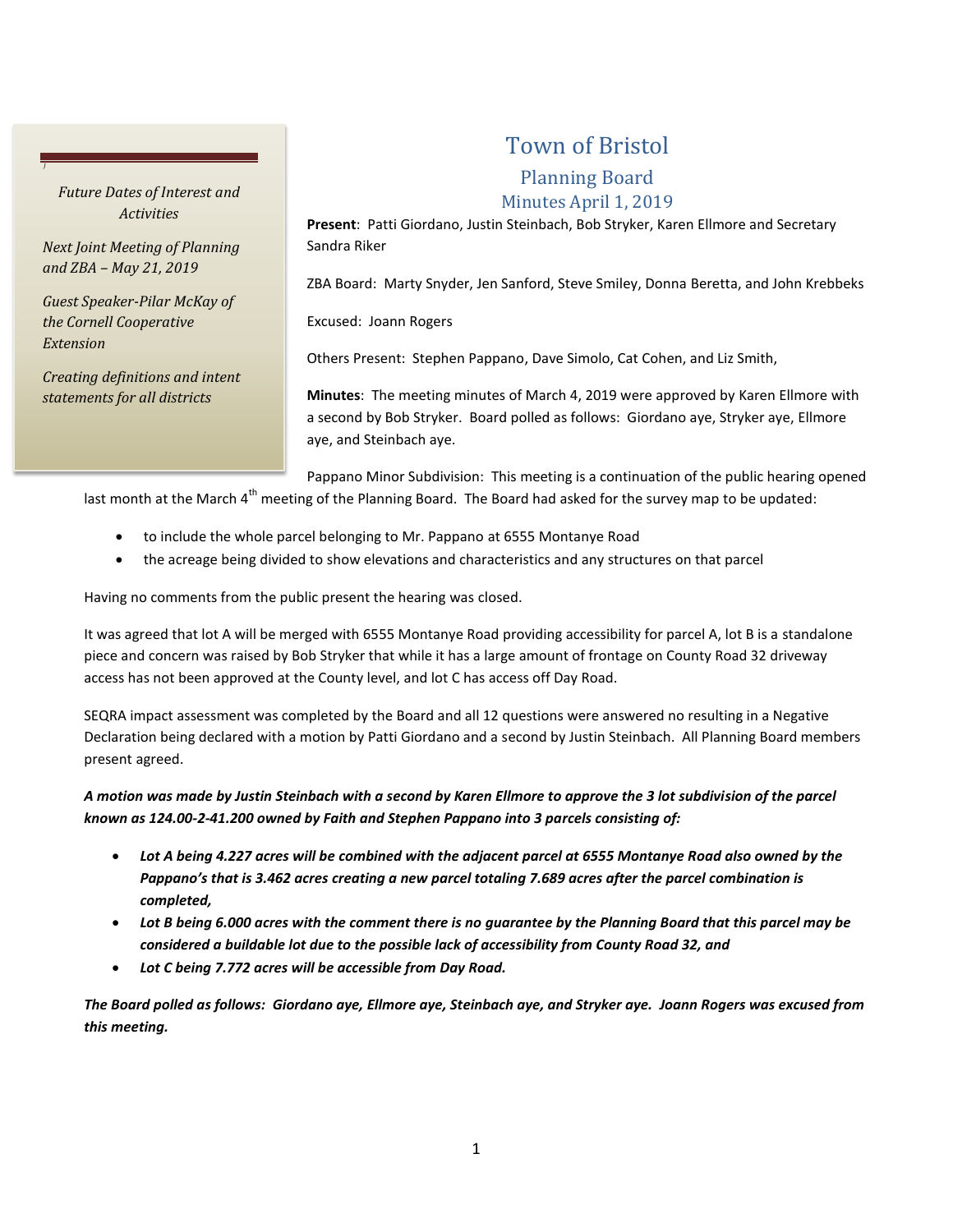## *Future Dates of Interest and Activities*

*J*

*Next Joint Meeting of Planning and ZBA – May 21, 2019*

*Guest Speaker-Pilar McKay of the Cornell Cooperative Extension*

*Creating definitions and intent statements for all districts*

# Town of Bristol

# Planning Board

#### Minutes April 1, 2019

**Present**: Patti Giordano, Justin Steinbach, Bob Stryker, Karen Ellmore and Secretary Sandra Riker

ZBA Board: Marty Snyder, Jen Sanford, Steve Smiley, Donna Beretta, and John Krebbeks

Excused: Joann Rogers

Others Present: Stephen Pappano, Dave Simolo, Cat Cohen, and Liz Smith,

**Minutes**: The meeting minutes of March 4, 2019 were approved by Karen Ellmore with a second by Bob Stryker. Board polled as follows: Giordano aye, Stryker aye, Ellmore aye, and Steinbach aye.

Pappano Minor Subdivision: This meeting is a continuation of the public hearing opened last month at the March 4<sup>th</sup> meeting of the Planning Board. The Board had asked for the survey map to be updated:

- to include the whole parcel belonging to Mr. Pappano at 6555 Montanye Road
- the acreage being divided to show elevations and characteristics and any structures on that parcel

Having no comments from the public present the hearing was closed.

It was agreed that lot A will be merged with 6555 Montanye Road providing accessibility for parcel A, lot B is a standalone piece and concern was raised by Bob Stryker that while it has a large amount of frontage on County Road 32 driveway access has not been approved at the County level, and lot C has access off Day Road.

SEQRA impact assessment was completed by the Board and all 12 questions were answered no resulting in a Negative Declaration being declared with a motion by Patti Giordano and a second by Justin Steinbach. All Planning Board members present agreed.

## *A motion was made by Justin Steinbach with a second by Karen Ellmore to approve the 3 lot subdivision of the parcel known as 124.00-2-41.200 owned by Faith and Stephen Pappano into 3 parcels consisting of:*

- *Lot A being 4.227 acres will be combined with the adjacent parcel at 6555 Montanye Road also owned by the Pappano's that is 3.462 acres creating a new parcel totaling 7.689 acres after the parcel combination is completed,*
- *Lot B being 6.000 acres with the comment there is no guarantee by the Planning Board that this parcel may be considered a buildable lot due to the possible lack of accessibility from County Road 32, and*
- *Lot C being 7.772 acres will be accessible from Day Road.*

*The Board polled as follows: Giordano aye, Ellmore aye, Steinbach aye, and Stryker aye. Joann Rogers was excused from this meeting.*